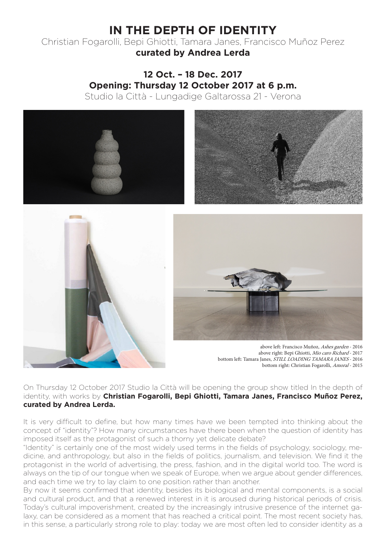# **IN THE DEPTH OF IDENTITY**

Christian Fogarolli, Bepi Ghiotti, Tamara Janes, Francisco Muñoz Perez **curated by Andrea Lerda**

# **12 Oct. – 18 Dec. 2017 Opening: Thursday 12 October 2017 at 6 p.m.** Studio la Città - Lungadige Galtarossa 21 - Verona







above left: Francisco Muñoz, Ashes garden - 2016 above right: Bepi Ghiotti, Mio caro Richard - 2017 bottom left: Tamara Janes, STILL LOADING TAMARA JANES - 2016 bottom right: Christian Fogarolli, Amoral - 2015

On Thursday 12 October 2017 Studio la Città will be opening the group show titled In the depth of identity, with works by **Christian Fogarolli, Bepi Ghiotti, Tamara Janes, Francisco Muñoz Perez, curated by Andrea Lerda.**

It is very difficult to define, but how many times have we been tempted into thinking about the concept of "identity"? How many circumstances have there been when the question of identity has imposed itself as the protagonist of such a thorny yet delicate debate?

"Identity" is certainly one of the most widely used terms in the fields of psychology, sociology, medicine, and anthropology, but also in the fields of politics, journalism, and television. We find it the protagonist in the world of advertising, the press, fashion, and in the digital world too. The word is always on the tip of our tongue when we speak of Europe, when we argue about gender differences, and each time we try to lay claim to one position rather than another.

By now it seems confirmed that identity, besides its biological and mental components, is a social and cultural product, and that a renewed interest in it is aroused during historical periods of crisis. Today's cultural impoverishment, created by the increasingly intrusive presence of the internet galaxy, can be considered as a moment that has reached a critical point. The most recent society has, in this sense, a particularly strong role to play: today we are most often led to consider identity as a